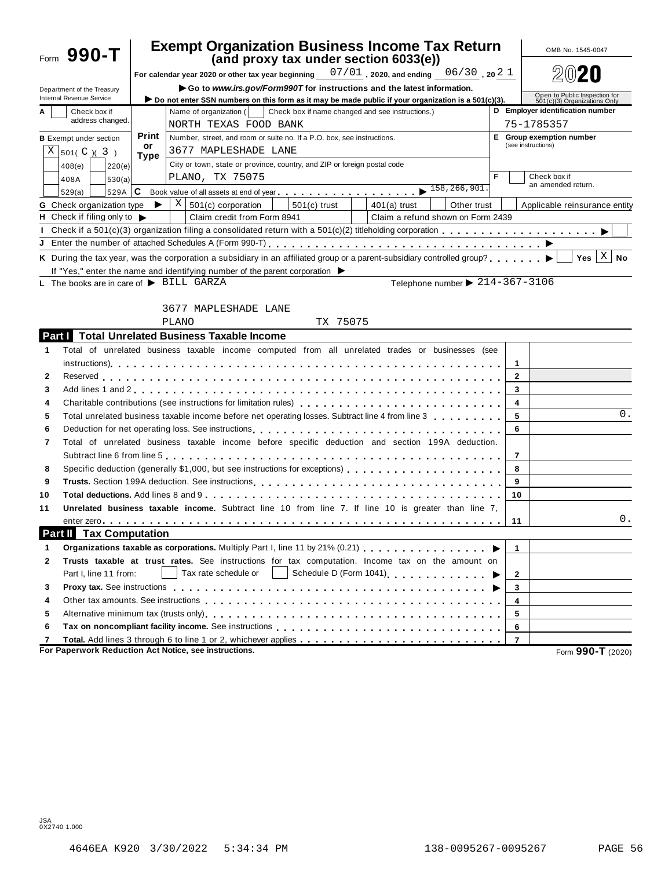|                  | Form 990-T                                                    |                                                                                 | <b>Exempt Organization Business Income Tax Return</b>                                                                                                                                                                                                                                                                                    |                | OMB No. 1545-0047                                             |  |  |
|------------------|---------------------------------------------------------------|---------------------------------------------------------------------------------|------------------------------------------------------------------------------------------------------------------------------------------------------------------------------------------------------------------------------------------------------------------------------------------------------------------------------------------|----------------|---------------------------------------------------------------|--|--|
|                  |                                                               |                                                                                 | (and proxy tax under section 6033(e))                                                                                                                                                                                                                                                                                                    |                |                                                               |  |  |
|                  |                                                               |                                                                                 | For calendar year 2020 or other tax year beginning $-07/01$ , 2020, and ending $-06/30\,$ , 20 $2\,1$                                                                                                                                                                                                                                    |                |                                                               |  |  |
|                  | Department of the Treasury<br><b>Internal Revenue Service</b> |                                                                                 | Go to www.irs.gov/Form990T for instructions and the latest information.<br>Do not enter SSN numbers on this form as it may be made public if your organization is a 501(c)(3).                                                                                                                                                           |                | Open to Public Inspection for<br>501(c)(3) Organizations Only |  |  |
| A                | Check box if                                                  |                                                                                 | D Employer identification number                                                                                                                                                                                                                                                                                                         |                |                                                               |  |  |
| address changed. |                                                               |                                                                                 | Name of organization (<br>Check box if name changed and see instructions.)<br>NORTH TEXAS FOOD BANK                                                                                                                                                                                                                                      | 75-1785357     |                                                               |  |  |
|                  | <b>B</b> Exempt under section                                 | Print<br>Number, street, and room or suite no. If a P.O. box, see instructions. |                                                                                                                                                                                                                                                                                                                                          |                | E Group exemption number                                      |  |  |
| X                | 501(C)(3)                                                     | or                                                                              | 3677 MAPLESHADE LANE                                                                                                                                                                                                                                                                                                                     |                | (see instructions)                                            |  |  |
|                  | 220(e)<br>408(e)                                              | <b>Type</b>                                                                     | City or town, state or province, country, and ZIP or foreign postal code                                                                                                                                                                                                                                                                 |                |                                                               |  |  |
|                  | 530(a)<br>408A                                                |                                                                                 | PLANO, TX 75075                                                                                                                                                                                                                                                                                                                          | F              | Check box if                                                  |  |  |
|                  | 529A $ C$<br>529(a)                                           |                                                                                 | Book value of all assets at end of year<br>$\cdots$ , $\cdots$ , $\cdots$ , $\cdots$ , $\cdots$ , $\cdots$ , $\cdots$ , $\cdots$ , $\cdots$ , $\cdots$ , $\cdots$ , $\cdots$ , $\cdots$ , $\cdots$ , $\cdots$ , $\cdots$ , $\cdots$ , $\cdots$ , $\cdots$ , $\cdots$ , $\cdots$ , $\cdots$ , $\cdots$ , $\cdots$ , $\cdots$ , $\cdots$ , |                | an amended return.                                            |  |  |
|                  | G Check organization type $\blacktriangleright$               |                                                                                 | $X \mid 501(c)$ corporation<br>$501(c)$ trust<br>Other trust<br>$401(a)$ trust                                                                                                                                                                                                                                                           |                | Applicable reinsurance entity                                 |  |  |
|                  | <b>H</b> Check if filing only to $\blacktriangleright$        |                                                                                 | Claim credit from Form 8941<br>Claim a refund shown on Form 2439<br><b>Contract Contract State</b>                                                                                                                                                                                                                                       |                |                                                               |  |  |
|                  |                                                               |                                                                                 |                                                                                                                                                                                                                                                                                                                                          |                |                                                               |  |  |
|                  |                                                               |                                                                                 |                                                                                                                                                                                                                                                                                                                                          |                |                                                               |  |  |
|                  |                                                               |                                                                                 | K During the tax year, was the corporation a subsidiary in an affiliated group or a parent-subsidiary controlled group? $\blacktriangleright$                                                                                                                                                                                            |                | Yes $ X $<br><b>No</b>                                        |  |  |
|                  |                                                               |                                                                                 | If "Yes," enter the name and identifying number of the parent corporation $\blacktriangleright$                                                                                                                                                                                                                                          |                |                                                               |  |  |
|                  | L The books are in care of $\blacktriangleright$ BILL GARZA   |                                                                                 | Telephone number $\triangleright$ 214-367-3106                                                                                                                                                                                                                                                                                           |                |                                                               |  |  |
|                  |                                                               |                                                                                 |                                                                                                                                                                                                                                                                                                                                          |                |                                                               |  |  |
|                  |                                                               |                                                                                 | 3677 MAPLESHADE LANE                                                                                                                                                                                                                                                                                                                     |                |                                                               |  |  |
|                  |                                                               |                                                                                 | TX 75075<br>PLANO                                                                                                                                                                                                                                                                                                                        |                |                                                               |  |  |
|                  |                                                               |                                                                                 | <b>Part Total Unrelated Business Taxable Income</b>                                                                                                                                                                                                                                                                                      |                |                                                               |  |  |
| 1                |                                                               |                                                                                 | Total of unrelated business taxable income computed from all unrelated trades or businesses (see                                                                                                                                                                                                                                         |                |                                                               |  |  |
|                  |                                                               |                                                                                 |                                                                                                                                                                                                                                                                                                                                          | 1              |                                                               |  |  |
| 2                |                                                               |                                                                                 |                                                                                                                                                                                                                                                                                                                                          | $\mathbf{2}$   |                                                               |  |  |
| 3                |                                                               |                                                                                 |                                                                                                                                                                                                                                                                                                                                          | 3              |                                                               |  |  |
| 4                |                                                               |                                                                                 | Charitable contributions (see instructions for limitation rules)                                                                                                                                                                                                                                                                         | 4              |                                                               |  |  |
| 5                |                                                               |                                                                                 | Total unrelated business taxable income before net operating losses. Subtract line 4 from line 3                                                                                                                                                                                                                                         | 5              | 0.                                                            |  |  |
| 6                |                                                               |                                                                                 |                                                                                                                                                                                                                                                                                                                                          | 6              |                                                               |  |  |
| 7                |                                                               |                                                                                 | Total of unrelated business taxable income before specific deduction and section 199A deduction.                                                                                                                                                                                                                                         |                |                                                               |  |  |
|                  |                                                               |                                                                                 |                                                                                                                                                                                                                                                                                                                                          | 7              |                                                               |  |  |
| 8                |                                                               |                                                                                 | Specific deduction (generally \$1,000, but see instructions for exceptions)                                                                                                                                                                                                                                                              | 8              |                                                               |  |  |
| 9                |                                                               |                                                                                 |                                                                                                                                                                                                                                                                                                                                          | 9              |                                                               |  |  |
| 10               |                                                               |                                                                                 |                                                                                                                                                                                                                                                                                                                                          | 10             |                                                               |  |  |
| 11               |                                                               |                                                                                 | Unrelated business taxable income. Subtract line 10 from line 7. If line 10 is greater than line 7,                                                                                                                                                                                                                                      |                |                                                               |  |  |
|                  |                                                               |                                                                                 |                                                                                                                                                                                                                                                                                                                                          | 11             | 0.                                                            |  |  |
| <b>Part II</b>   | <b>Tax Computation</b>                                        |                                                                                 |                                                                                                                                                                                                                                                                                                                                          |                |                                                               |  |  |
| 1                |                                                               |                                                                                 | Organizations taxable as corporations. Multiply Part I, line 11 by 21% (0.21)                                                                                                                                                                                                                                                            | $\mathbf{1}$   |                                                               |  |  |
| 2                |                                                               |                                                                                 | Trusts taxable at trust rates. See instructions for tax computation. Income tax on the amount on                                                                                                                                                                                                                                         |                |                                                               |  |  |
|                  | Part I, line 11 from:                                         |                                                                                 | Tax rate schedule or                                                                                                                                                                                                                                                                                                                     | 2              |                                                               |  |  |
| 3                |                                                               |                                                                                 |                                                                                                                                                                                                                                                                                                                                          | 3              |                                                               |  |  |
| 4                |                                                               |                                                                                 |                                                                                                                                                                                                                                                                                                                                          | 4              |                                                               |  |  |
| 5                |                                                               |                                                                                 |                                                                                                                                                                                                                                                                                                                                          | 5              |                                                               |  |  |
| 6                |                                                               |                                                                                 |                                                                                                                                                                                                                                                                                                                                          | 6              |                                                               |  |  |
| 7                |                                                               |                                                                                 |                                                                                                                                                                                                                                                                                                                                          | $\overline{7}$ |                                                               |  |  |
|                  |                                                               |                                                                                 | For Paperwork Reduction Act Notice, see instructions.                                                                                                                                                                                                                                                                                    |                | Form 990-T (2020)                                             |  |  |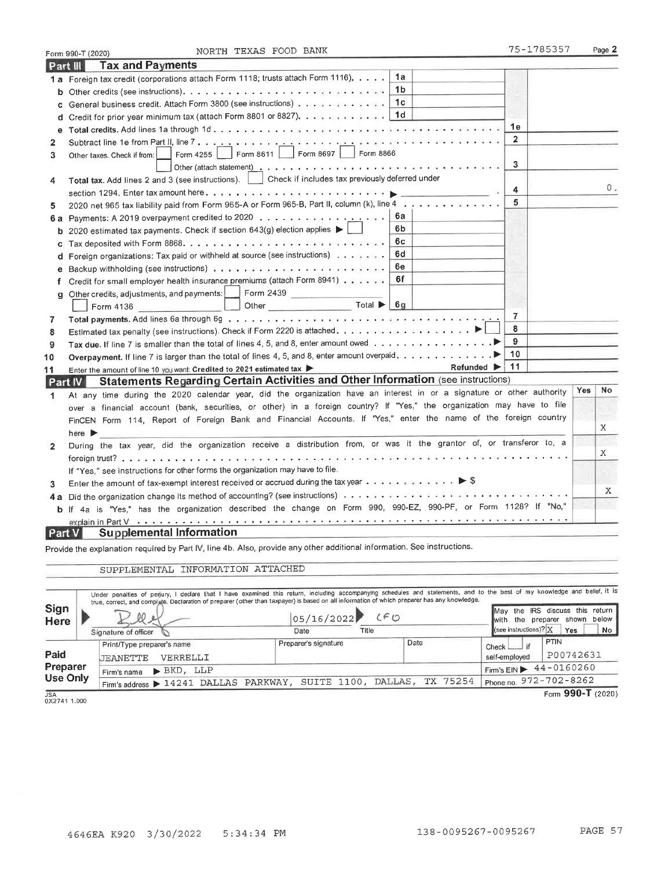|               | NORTH TEXAS FOOD BANK<br>Form 990-T (2020)                                                                              | 75-1785357     |     | Page 2 |
|---------------|-------------------------------------------------------------------------------------------------------------------------|----------------|-----|--------|
|               | <b>Tax and Payments</b><br>Part III                                                                                     |                |     |        |
|               | 1a<br>1 a Foreign tax credit (corporations attach Form 1118; trusts attach Form 1116).                                  |                |     |        |
|               | 1b                                                                                                                      |                |     |        |
| c             | 1с<br>General business credit. Attach Form 3800 (see instructions)                                                      |                |     |        |
|               | d Credit for prior year minimum tax (attach Form 8801 or 8827). 11d                                                     |                |     |        |
| е             |                                                                                                                         | 1e             |     |        |
| 2             |                                                                                                                         | $\overline{2}$ |     |        |
| 3             | Form 4255   Form 8611   Form 8697   Form 8866<br>Other taxes. Check if from:                                            |                |     |        |
|               |                                                                                                                         | 3              |     |        |
| 4             | Total tax. Add lines 2 and 3 (see instructions).     Check if includes tax previously deferred under                    |                |     |        |
|               |                                                                                                                         | 4              |     | 0.     |
| 5             | 2020 net 965 tax liability paid from Form 965-A or Form 965-B, Part II, column (k), line 4                              | 5              |     |        |
|               | 6а                                                                                                                      |                |     |        |
|               | 6b<br>2020 estimated tax payments. Check if section 643(g) election applies $\blacktriangleright\ \lfloor$              |                |     |        |
| c             | 6с                                                                                                                      |                |     |        |
| d             | 6d<br>Foreign organizations: Tax paid or withheld at source (see instructions) and a contract or                        |                |     |        |
| е             | 6e                                                                                                                      |                |     |        |
| f             | 6f<br>Credit for small employer health insurance premiums (attach Form 8941)                                            |                |     |        |
| g             | Other credits, adjustments, and payments: Form 2439                                                                     |                |     |        |
|               | Other Total<br>6g<br>Form 4136                                                                                          |                |     |        |
| 7             |                                                                                                                         | $\overline{7}$ |     |        |
| 8             |                                                                                                                         | 8              |     |        |
| 9             |                                                                                                                         | 9              |     |        |
| 10            | Overpayment. If line 7 is larger than the total of lines 4, 5, and 8, enter amount overpaid.                            | 10             |     |        |
| 11            | <b>Refunded</b> ▶<br>Enter the amount of line 10 you want: Credited to 2021 estimated tax                               | i 11           |     |        |
|               | <b>Statements Regarding Certain Activities and Other Information (see instructions)</b><br>Part IV                      |                |     |        |
| 1             | At any time during the 2020 calendar year, did the organization have an interest in or a signature or other authority   |                | Yes | No     |
|               | over a financial account (bank, securities, or other) in a foreign country? If "Yes," the organization may have to file |                |     |        |
|               | FinCEN Form 114, Report of Foreign Bank and Financial Accounts. If "Yes," enter the name of the foreign country         |                |     |        |
|               | here $\blacktriangleright$                                                                                              |                |     | Χ      |
| $\mathbf{2}$  | During the tax year, did the organization receive a distribution from, or was it the grantor of, or transferor to, a    |                |     |        |
|               |                                                                                                                         |                |     | X      |
|               | If "Yes," see instructions for other forms the organization may have to file.                                           |                |     |        |
| 3             | Enter the amount of tax-exempt interest received or accrued during the tax year $\ldots$ .                              |                |     | X      |
|               |                                                                                                                         |                |     |        |
|               | b If 4a is "Yes," has the organization described the change on Form 990, 990-EZ, 990-PF, or Form 1128? If "No,"         |                |     |        |
|               |                                                                                                                         |                |     |        |
| <b>Part V</b> | <b>Supplemental Information</b>                                                                                         |                |     |        |
|               | Provide the explanation required by Part IV, line 4b. Also, provide any other additional information. See instructions. |                |     |        |

SUPPLEMENTAL INFORMATION ATTACHED

|                        |                                                    |                                               | Under penalties of perjury, I declare that I have examined this return, including accompanying schedules and statements, and to the best of my knowledge and belief, it is<br>true, correct, and complate. Declaration of preparer (other than taxpayer) is based on all information of which preparer has any knowledge. |                |                      |                                                                  |                        |  |                                      |                       |
|------------------------|----------------------------------------------------|-----------------------------------------------|---------------------------------------------------------------------------------------------------------------------------------------------------------------------------------------------------------------------------------------------------------------------------------------------------------------------------|----------------|----------------------|------------------------------------------------------------------|------------------------|--|--------------------------------------|-----------------------|
| Sign<br><b>Here</b>    | 00                                                 |                                               |                                                                                                                                                                                                                                                                                                                           | 05/16/2022 (FO |                      | May the IRS discuss this return<br>with the preparer shown below |                        |  |                                      |                       |
|                        |                                                    | Signature of officer                          |                                                                                                                                                                                                                                                                                                                           |                | Date                 | Title                                                            |                        |  | $\sqrt{\text{see}}$ instructions)? X | No<br>Yes             |
|                        |                                                    | Print/Type preparer's name                    |                                                                                                                                                                                                                                                                                                                           |                | Preparer's signature |                                                                  | Date                   |  | if<br>Check                          | <b>PTIN</b>           |
| Paid                   | VERRELLI<br>JEANETTE                               |                                               |                                                                                                                                                                                                                                                                                                                           |                |                      | self-employed                                                    | P00742631              |  |                                      |                       |
| Preparer               |                                                    | $\blacktriangleright$ BKD, LLP<br>Firm's name |                                                                                                                                                                                                                                                                                                                           |                |                      |                                                                  |                        |  |                                      | Firm's EIN 44-0160260 |
| <b>Use Only</b>        | Firm's address > 14241 DALLAS PARKWAY, SUITE 1100, |                                               |                                                                                                                                                                                                                                                                                                                           |                | DALLAS, TX 75254     |                                                                  | Phone no. 972-702-8262 |  |                                      |                       |
| <b>JSA</b><br>$\cdots$ |                                                    |                                               |                                                                                                                                                                                                                                                                                                                           |                |                      |                                                                  |                        |  |                                      | Form $990 - T$ (2020) |

JSA<br>0X2741 1.000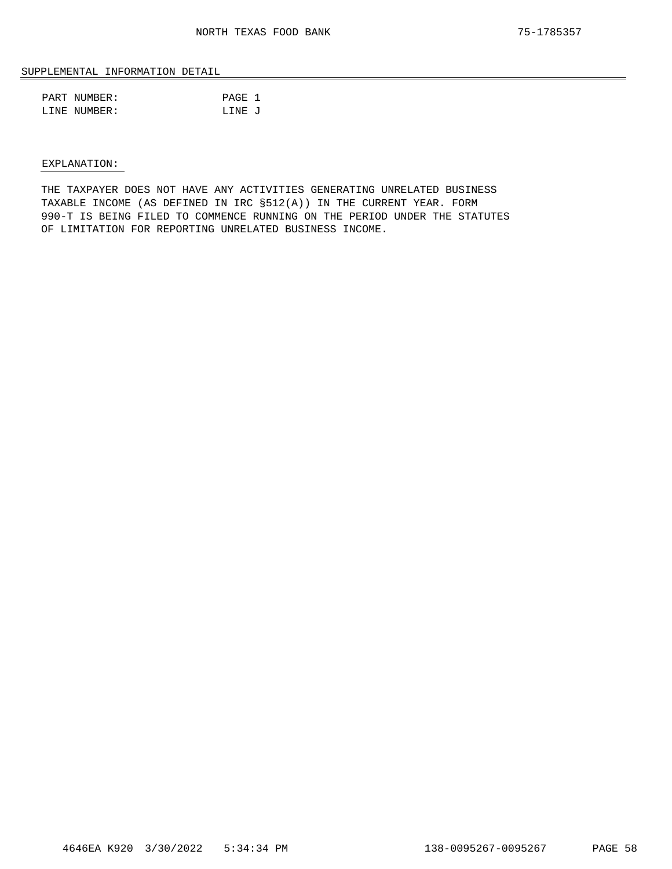### SUPPLEMENTAL INFORMATION DETAIL

| PART NUMBER: | PAGE 1 |  |
|--------------|--------|--|
| LINE NUMBER: | LINE J |  |

#### EXPLANATION:

THE TAXPAYER DOES NOT HAVE ANY ACTIVITIES GENERATING UNRELATED BUSINESS TAXABLE INCOME (AS DEFINED IN IRC §512(A)) IN THE CURRENT YEAR. FORM 990-T IS BEING FILED TO COMMENCE RUNNING ON THE PERIOD UNDER THE STATUTES OF LIMITATION FOR REPORTING UNRELATED BUSINESS INCOME.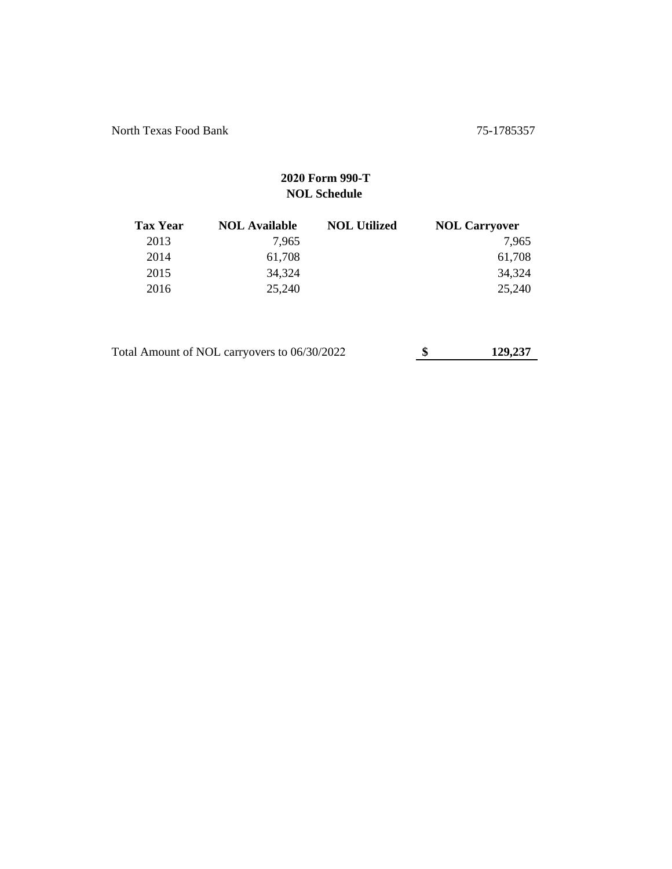North Texas Food Bank 75-1785357

## **2020 Form 990-T NOL Schedule**

| <b>Tax Year</b> | <b>NOL Available</b> | <b>NOL Utilized</b> | <b>NOL Carryover</b> |
|-----------------|----------------------|---------------------|----------------------|
| 2013            | 7.965                |                     | 7.965                |
| 2014            | 61,708               |                     | 61,708               |
| 2015            | 34,324               |                     | 34,324               |
| 2016            | 25,240               |                     | 25,240               |

| Total Amount of NOL carryovers to 06/30/2022 | 129,237 |
|----------------------------------------------|---------|
|                                              |         |